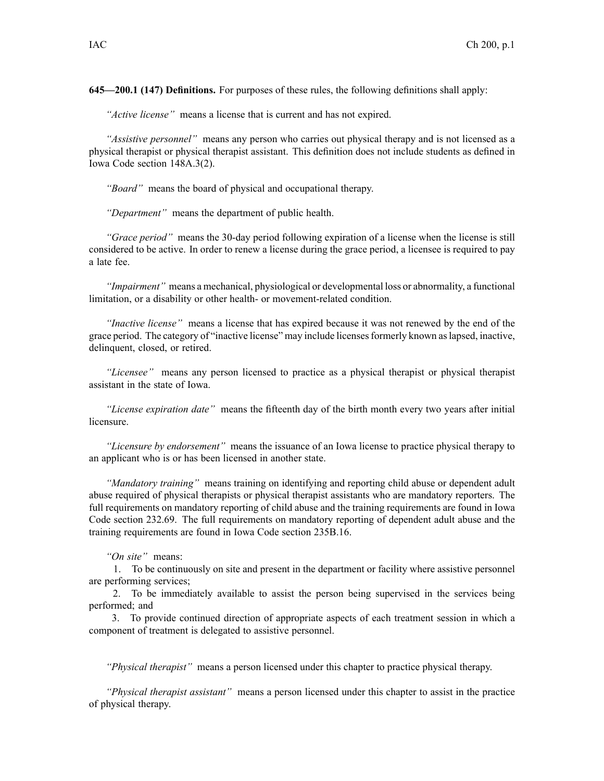**645—200.1 (147) Definitions.** For purposes of these rules, the following definitions shall apply:

*"Active license"* means <sup>a</sup> license that is current and has not expired.

*"Assistive personnel"* means any person who carries out physical therapy and is not licensed as <sup>a</sup> physical therapist or physical therapist assistant. This definition does not include students as defined in Iowa Code section [148A.3\(2\)](https://www.legis.iowa.gov/docs/ico/section/148A.3.pdf).

*"Board"* means the board of physical and occupational therapy.

*"Department"* means the department of public health.

*"Grace period"* means the 30-day period following expiration of <sup>a</sup> license when the license is still considered to be active. In order to renew <sup>a</sup> license during the grace period, <sup>a</sup> licensee is required to pay <sup>a</sup> late fee.

*"Impairment"* means <sup>a</sup> mechanical, physiological or developmental loss or abnormality, <sup>a</sup> functional limitation, or <sup>a</sup> disability or other health- or movement-related condition.

*"Inactive license"* means <sup>a</sup> license that has expired because it was not renewed by the end of the grace period. The category of "inactive license" may include licensesformerly known aslapsed, inactive, delinquent, closed, or retired.

*"Licensee"* means any person licensed to practice as <sup>a</sup> physical therapist or physical therapist assistant in the state of Iowa.

*"License expiration date"* means the fifteenth day of the birth month every two years after initial licensure.

*"Licensure by endorsement"* means the issuance of an Iowa license to practice physical therapy to an applicant who is or has been licensed in another state.

*"Mandatory training"* means training on identifying and reporting child abuse or dependent adult abuse required of physical therapists or physical therapist assistants who are mandatory reporters. The full requirements on mandatory reporting of child abuse and the training requirements are found in Iowa Code section [232.69](https://www.legis.iowa.gov/docs/ico/section/232.69.pdf). The full requirements on mandatory reporting of dependent adult abuse and the training requirements are found in Iowa Code section [235B.16](https://www.legis.iowa.gov/docs/ico/section/235B.16.pdf).

*"On site"* means:

1. To be continuously on site and presen<sup>t</sup> in the department or facility where assistive personnel are performing services;

2. To be immediately available to assist the person being supervised in the services being performed; and

3. To provide continued direction of appropriate aspects of each treatment session in which <sup>a</sup> componen<sup>t</sup> of treatment is delegated to assistive personnel.

*"Physical therapist"* means <sup>a</sup> person licensed under this chapter to practice physical therapy.

*"Physical therapist assistant"* means <sup>a</sup> person licensed under this chapter to assist in the practice of physical therapy.